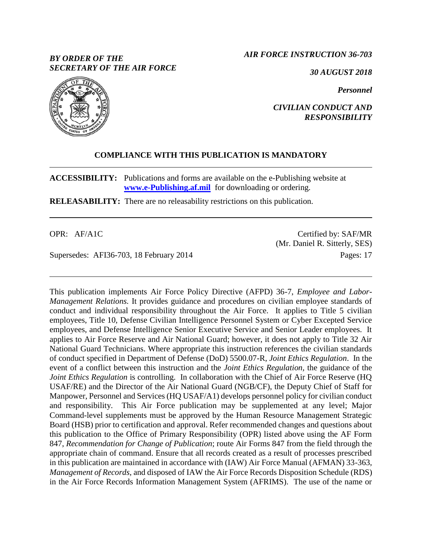# *BY ORDER OF THE SECRETARY OF THE AIR FORCE*

*AIR FORCE INSTRUCTION 36-703*

*30 AUGUST 2018*

*Personnel*



### *CIVILIAN CONDUCT AND RESPONSIBILITY*

# **COMPLIANCE WITH THIS PUBLICATION IS MANDATORY**

**ACCESSIBILITY:** Publications and forms are available on the e-Publishing website at **[www.e-Publishing.af.mil](http://www.e-publishing.af.mil/)** for downloading or ordering.

**RELEASABILITY:** There are no releasability restrictions on this publication.

OPR: AF/A1C

Supersedes: AFI36-703, 18 February 2014

Certified by: SAF/MR (Mr. Daniel R. Sitterly, SES) Pages: 17

This publication implements Air Force Policy Directive (AFPD) 36-7, *Employee and Labor-Management Relations.* It provides guidance and procedures on civilian employee standards of conduct and individual responsibility throughout the Air Force. It applies to Title 5 civilian employees, Title 10, Defense Civilian Intelligence Personnel System or Cyber Excepted Service employees, and Defense Intelligence Senior Executive Service and Senior Leader employees. It applies to Air Force Reserve and Air National Guard; however, it does not apply to Title 32 Air National Guard Technicians. Where appropriate this instruction references the civilian standards of conduct specified in Department of Defense (DoD) 5500.07-R*, Joint Ethics Regulation*. In the event of a conflict between this instruction and the *Joint Ethics Regulation,* the guidance of the *Joint Ethics Regulation* is controlling. In collaboration with the Chief of Air Force Reserve (HQ USAF/RE) and the Director of the Air National Guard (NGB/CF), the Deputy Chief of Staff for Manpower, Personnel and Services (HQ USAF/A1) develops personnel policy for civilian conduct and responsibility. This Air Force publication may be supplemented at any level; Major Command-level supplements must be approved by the Human Resource Management Strategic Board (HSB) prior to certification and approval. Refer recommended changes and questions about this publication to the Office of Primary Responsibility (OPR) listed above using the AF Form 847, *Recommendation for Change of Publication*; route Air Forms 847 from the field through the appropriate chain of command. Ensure that all records created as a result of processes prescribed in this publication are maintained in accordance with (IAW) Air Force Manual (AFMAN) 33-363, *Management of Records*, and disposed of IAW the Air Force Records Disposition Schedule (RDS) in the Air Force Records Information Management System (AFRIMS). The use of the name or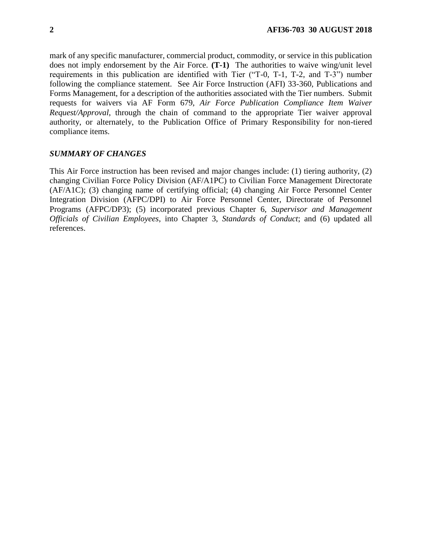mark of any specific manufacturer, commercial product, commodity, or service in this publication does not imply endorsement by the Air Force. **(T-1)** The authorities to waive wing/unit level requirements in this publication are identified with Tier ("T-0, T-1, T-2, and T-3") number following the compliance statement. See Air Force Instruction (AFI) 33-360, Publications and Forms Management, for a description of the authorities associated with the Tier numbers. Submit requests for waivers via AF Form 679, *Air Force Publication Compliance Item Waiver Request/Approval*, through the chain of command to the appropriate Tier waiver approval authority, or alternately, to the Publication Office of Primary Responsibility for non-tiered compliance items.

#### *SUMMARY OF CHANGES*

This Air Force instruction has been revised and major changes include: (1) tiering authority, (2) changing Civilian Force Policy Division (AF/A1PC) to Civilian Force Management Directorate (AF/A1C); (3) changing name of certifying official; (4) changing Air Force Personnel Center Integration Division (AFPC/DPI) to Air Force Personnel Center, Directorate of Personnel Programs (AFPC/DP3); (5) incorporated previous Chapter 6, *Supervisor and Management Officials of Civilian Employees*, into Chapter 3, *Standards of Conduct*; and (6) updated all references.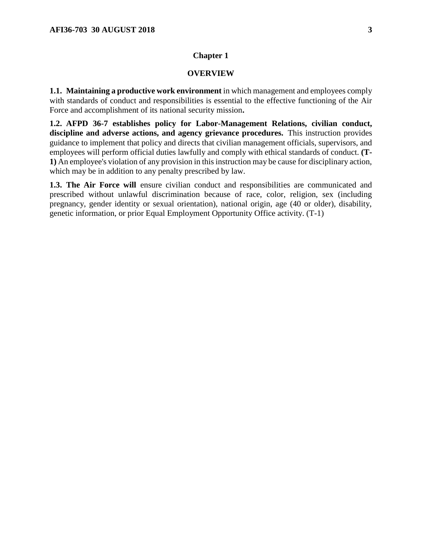### **OVERVIEW**

**1.1. Maintaining a productive work environment** in which management and employees comply with standards of conduct and responsibilities is essential to the effective functioning of the Air Force and accomplishment of its national security mission**.**

**1.2. AFPD 36-7 establishes policy for Labor-Management Relations, civilian conduct, discipline and adverse actions, and agency grievance procedures.** This instruction provides guidance to implement that policy and directs that civilian management officials, supervisors, and employees will perform official duties lawfully and comply with ethical standards of conduct. **(T-1)** An employee's violation of any provision in this instruction may be cause for disciplinary action, which may be in addition to any penalty prescribed by law.

**1.3. The Air Force will** ensure civilian conduct and responsibilities are communicated and prescribed without unlawful discrimination because of race, color, religion, sex (including pregnancy, gender identity or sexual orientation), national origin, age (40 or older), disability, genetic information, or prior Equal Employment Opportunity Office activity. (T-1)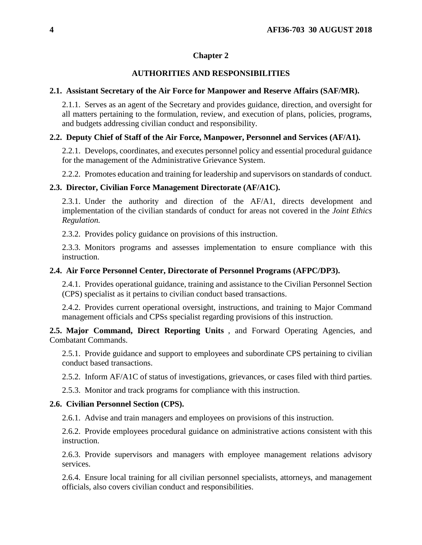## **AUTHORITIES AND RESPONSIBILITIES**

### **2.1. Assistant Secretary of the Air Force for Manpower and Reserve Affairs (SAF/MR).**

2.1.1. Serves as an agent of the Secretary and provides guidance, direction, and oversight for all matters pertaining to the formulation, review, and execution of plans, policies, programs, and budgets addressing civilian conduct and responsibility.

## **2.2. Deputy Chief of Staff of the Air Force, Manpower, Personnel and Services (AF/A1).**

2.2.1. Develops, coordinates, and executes personnel policy and essential procedural guidance for the management of the Administrative Grievance System.

2.2.2. Promotes education and training for leadership and supervisors on standards of conduct.

### **2.3. Director, Civilian Force Management Directorate (AF/A1C).**

2.3.1. Under the authority and direction of the AF/A1, directs development and implementation of the civilian standards of conduct for areas not covered in the *Joint Ethics Regulation.*

2.3.2. Provides policy guidance on provisions of this instruction.

2.3.3. Monitors programs and assesses implementation to ensure compliance with this instruction.

### **2.4. Air Force Personnel Center, Directorate of Personnel Programs (AFPC/DP3).**

2.4.1. Provides operational guidance, training and assistance to the Civilian Personnel Section (CPS) specialist as it pertains to civilian conduct based transactions.

2.4.2. Provides current operational oversight, instructions, and training to Major Command management officials and CPSs specialist regarding provisions of this instruction.

**2.5. Major Command, Direct Reporting Units** , and Forward Operating Agencies, and Combatant Commands.

2.5.1. Provide guidance and support to employees and subordinate CPS pertaining to civilian conduct based transactions.

2.5.2. Inform AF/A1C of status of investigations, grievances, or cases filed with third parties.

2.5.3. Monitor and track programs for compliance with this instruction.

## **2.6. Civilian Personnel Section (CPS).**

2.6.1. Advise and train managers and employees on provisions of this instruction.

2.6.2. Provide employees procedural guidance on administrative actions consistent with this instruction.

2.6.3. Provide supervisors and managers with employee management relations advisory services.

2.6.4. Ensure local training for all civilian personnel specialists, attorneys, and management officials, also covers civilian conduct and responsibilities.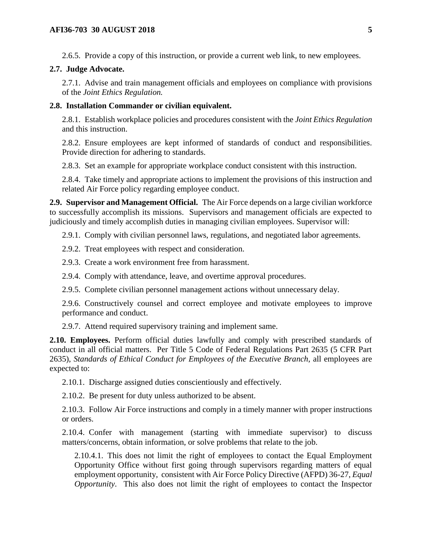2.6.5. Provide a copy of this instruction, or provide a current web link, to new employees.

### **2.7. Judge Advocate.**

2.7.1. Advise and train management officials and employees on compliance with provisions of the *Joint Ethics Regulation.*

#### **2.8. Installation Commander or civilian equivalent.**

2.8.1. Establish workplace policies and procedures consistent with the *Joint Ethics Regulation* and this instruction.

2.8.2. Ensure employees are kept informed of standards of conduct and responsibilities. Provide direction for adhering to standards.

2.8.3. Set an example for appropriate workplace conduct consistent with this instruction.

2.8.4. Take timely and appropriate actions to implement the provisions of this instruction and related Air Force policy regarding employee conduct.

**2.9. Supervisor and Management Official.** The Air Force depends on a large civilian workforce to successfully accomplish its missions. Supervisors and management officials are expected to judiciously and timely accomplish duties in managing civilian employees. Supervisor will:

2.9.1. Comply with civilian personnel laws, regulations, and negotiated labor agreements.

2.9.2. Treat employees with respect and consideration.

2.9.3. Create a work environment free from harassment.

2.9.4. Comply with attendance, leave, and overtime approval procedures.

2.9.5. Complete civilian personnel management actions without unnecessary delay.

2.9.6. Constructively counsel and correct employee and motivate employees to improve performance and conduct.

2.9.7. Attend required supervisory training and implement same.

**2.10. Employees.** Perform official duties lawfully and comply with prescribed standards of conduct in all official matters. Per Title 5 Code of Federal Regulations Part 2635 (5 CFR Part 2635), *Standards of Ethical Conduct for Employees of the Executive Branch*, all employees are expected to:

2.10.1. Discharge assigned duties conscientiously and effectively.

2.10.2. Be present for duty unless authorized to be absent.

2.10.3. Follow Air Force instructions and comply in a timely manner with proper instructions or orders.

2.10.4. Confer with management (starting with immediate supervisor) to discuss matters/concerns, obtain information, or solve problems that relate to the job.

2.10.4.1. This does not limit the right of employees to contact the Equal Employment Opportunity Office without first going through supervisors regarding matters of equal employment opportunity, consistent with Air Force Policy Directive (AFPD) 36-27, *Equal Opportunity*. This also does not limit the right of employees to contact the Inspector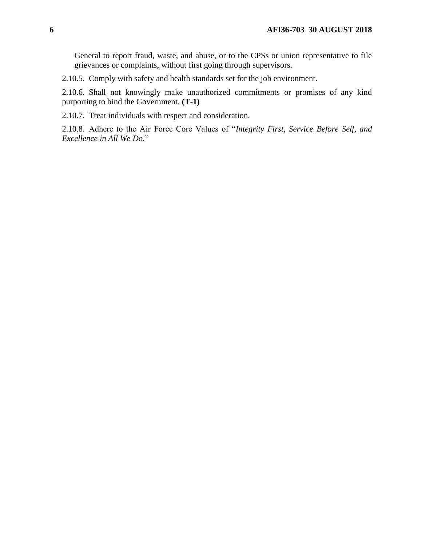General to report fraud, waste, and abuse, or to the CPSs or union representative to file grievances or complaints, without first going through supervisors.

2.10.5. Comply with safety and health standards set for the job environment.

2.10.6. Shall not knowingly make unauthorized commitments or promises of any kind purporting to bind the Government. **(T-1)**

2.10.7. Treat individuals with respect and consideration.

2.10.8. Adhere to the Air Force Core Values of "*Integrity First, Service Before Self, and Excellence in All We Do*."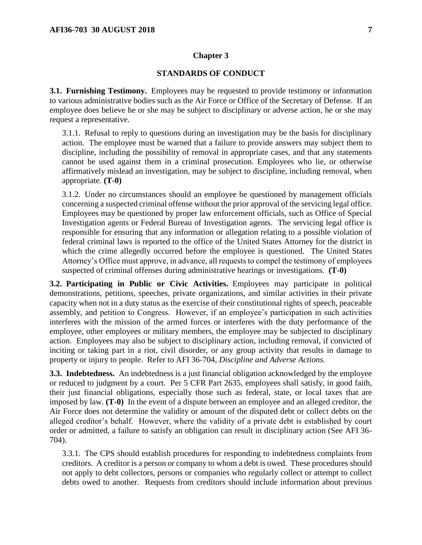### **STANDARDS OF CONDUCT**

**3.1. Furnishing Testimony.** Employees may be requested to provide testimony or information to various administrative bodies such as the Air Force or Office of the Secretary of Defense. If an employee does believe he or she may be subject to disciplinary or adverse action, he or she may request a representative.

3.1.1. Refusal to reply to questions during an investigation may be the basis for disciplinary action. The employee must be warned that a failure to provide answers may subject them to discipline, including the possibility of removal in appropriate cases, and that any statements cannot be used against them in a criminal prosecution. Employees who lie, or otherwise affirmatively mislead an investigation, may be subject to discipline, including removal, when appropriate. **(T-0)**

3.1.2. Under no circumstances should an employee be questioned by management officials concerning a suspected criminal offense without the prior approval of the servicing legal office. Employees may be questioned by proper law enforcement officials, such as Office of Special Investigation agents or Federal Bureau of Investigation agents. The servicing legal office is responsible for ensuring that any information or allegation relating to a possible violation of federal criminal laws is reported to the office of the United States Attorney for the district in which the crime allegedly occurred before the employee is questioned. The United States Attorney's Office must approve, in advance, all requests to compel the testimony of employees suspected of criminal offenses during administrative hearings or investigations. **(T-0)**

**3.2. Participating in Public or Civic Activities.** Employees may participate in political demonstrations, petitions, speeches, private organizations, and similar activities in their private capacity when not in a duty status as the exercise of their constitutional rights of speech, peaceable assembly, and petition to Congress. However, if an employee's participation in such activities interferes with the mission of the armed forces or interferes with the duty performance of the employee, other employees or military members, the employee may be subjected to disciplinary action. Employees may also be subject to disciplinary action, including removal, if convicted of inciting or taking part in a riot, civil disorder, or any group activity that results in damage to property or injury to people. Refer to AFI 36-704, *Discipline and Adverse Actions.*

**3.3. Indebtedness.** An indebtedness is a just financial obligation acknowledged by the employee or reduced to judgment by a court. Per 5 CFR Part 2635, employees shall satisfy, in good faith, their just financial obligations, especially those such as federal, state, or local taxes that are imposed by law. **(T-0)** In the event of a dispute between an employee and an alleged creditor, the Air Force does not determine the validity or amount of the disputed debt or collect debts on the alleged creditor's behalf. However, where the validity of a private debt is established by court order or admitted, a failure to satisfy an obligation can result in disciplinary action (See AFI 36- 704).

3.3.1. The CPS should establish procedures for responding to indebtedness complaints from creditors. A creditor is a person or company to whom a debt is owed. These procedures should not apply to debt collectors, persons or companies who regularly collect or attempt to collect debts owed to another. Requests from creditors should include information about previous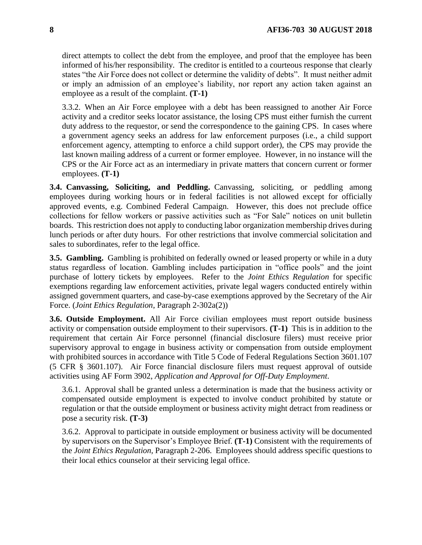direct attempts to collect the debt from the employee, and proof that the employee has been informed of his/her responsibility. The creditor is entitled to a courteous response that clearly states "the Air Force does not collect or determine the validity of debts". It must neither admit or imply an admission of an employee's liability, nor report any action taken against an employee as a result of the complaint. **(T-1)**

3.3.2. When an Air Force employee with a debt has been reassigned to another Air Force activity and a creditor seeks locator assistance, the losing CPS must either furnish the current duty address to the requestor, or send the correspondence to the gaining CPS. In cases where a government agency seeks an address for law enforcement purposes (i.e., a child support enforcement agency, attempting to enforce a child support order), the CPS may provide the last known mailing address of a current or former employee. However, in no instance will the CPS or the Air Force act as an intermediary in private matters that concern current or former employees. **(T-1)**

**3.4. Canvassing, Soliciting, and Peddling.** Canvassing, soliciting, or peddling among employees during working hours or in federal facilities is not allowed except for officially approved events, e.g. Combined Federal Campaign. However, this does not preclude office collections for fellow workers or passive activities such as "For Sale" notices on unit bulletin boards. This restriction does not apply to conducting labor organization membership drives during lunch periods or after duty hours. For other restrictions that involve commercial solicitation and sales to subordinates, refer to the legal office.

**3.5. Gambling.** Gambling is prohibited on federally owned or leased property or while in a duty status regardless of location. Gambling includes participation in "office pools" and the joint purchase of lottery tickets by employees. Refer to the *Joint Ethics Regulation* for specific exemptions regarding law enforcement activities, private legal wagers conducted entirely within assigned government quarters, and case-by-case exemptions approved by the Secretary of the Air Force. (*Joint Ethics Regulation*, Paragraph 2-302a(2))

**3.6. Outside Employment.** All Air Force civilian employees must report outside business activity or compensation outside employment to their supervisors. **(T-1)** This is in addition to the requirement that certain Air Force personnel (financial disclosure filers) must receive prior supervisory approval to engage in business activity or compensation from outside employment with prohibited sources in accordance with Title 5 Code of Federal Regulations Section 3601.107 (5 CFR § 3601.107). Air Force financial disclosure filers must request approval of outside activities using AF Form 3902, *Application and Approval for Off-Duty Employment*.

3.6.1. Approval shall be granted unless a determination is made that the business activity or compensated outside employment is expected to involve conduct prohibited by statute or regulation or that the outside employment or business activity might detract from readiness or pose a security risk. **(T-3)**

3.6.2. Approval to participate in outside employment or business activity will be documented by supervisors on the Supervisor's Employee Brief. **(T-1)** Consistent with the requirements of the *Joint Ethics Regulation,* Paragraph 2-206. Employees should address specific questions to their local ethics counselor at their servicing legal office.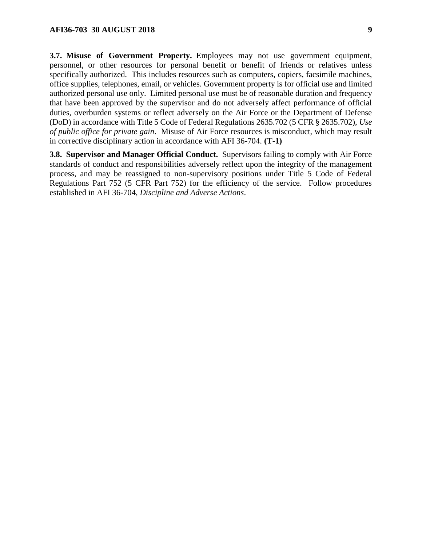**3.7. Misuse of Government Property.** Employees may not use government equipment, personnel, or other resources for personal benefit or benefit of friends or relatives unless specifically authorized. This includes resources such as computers, copiers, facsimile machines, office supplies, telephones, email, or vehicles. Government property is for official use and limited authorized personal use only. Limited personal use must be of reasonable duration and frequency that have been approved by the supervisor and do not adversely affect performance of official duties, overburden systems or reflect adversely on the Air Force or the Department of Defense (DoD) in accordance with Title 5 Code of Federal Regulations 2635.702 (5 CFR § 2635.702), *Use of public office for private gain*. Misuse of Air Force resources is misconduct, which may result in corrective disciplinary action in accordance with AFI 36-704. **(T-1)**

**3.8. Supervisor and Manager Official Conduct.** Supervisors failing to comply with Air Force standards of conduct and responsibilities adversely reflect upon the integrity of the management process, and may be reassigned to non-supervisory positions under Title 5 Code of Federal Regulations Part 752 (5 CFR Part 752) for the efficiency of the service. Follow procedures established in AFI 36-704, *Discipline and Adverse Actions*.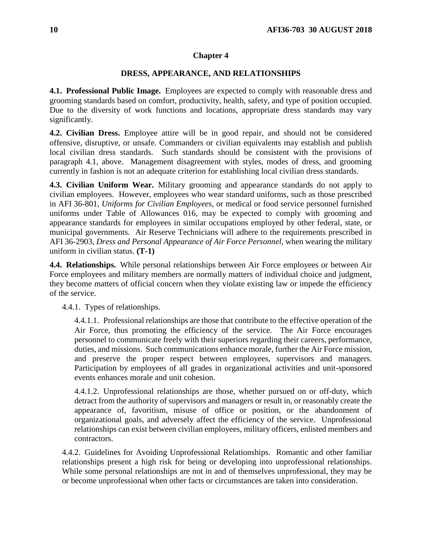### **DRESS, APPEARANCE, AND RELATIONSHIPS**

**4.1. Professional Public Image.** Employees are expected to comply with reasonable dress and grooming standards based on comfort, productivity, health, safety, and type of position occupied. Due to the diversity of work functions and locations, appropriate dress standards may vary significantly.

**4.2. Civilian Dress.** Employee attire will be in good repair, and should not be considered offensive, disruptive, or unsafe. Commanders or civilian equivalents may establish and publish local civilian dress standards. Such standards should be consistent with the provisions of paragraph 4.1, above. Management disagreement with styles, modes of dress, and grooming currently in fashion is not an adequate criterion for establishing local civilian dress standards.

**4.3. Civilian Uniform Wear.** Military grooming and appearance standards do not apply to civilian employees. However, employees who wear standard uniforms, such as those prescribed in AFI 36-801, *Uniforms for Civilian Employees,* or medical or food service personnel furnished uniforms under Table of Allowances 016, may be expected to comply with grooming and appearance standards for employees in similar occupations employed by other federal, state, or municipal governments. Air Reserve Technicians will adhere to the requirements prescribed in AFI 36-2903, *Dress and Personal Appearance of Air Force Personnel*, when wearing the military uniform in civilian status. **(T-1)**

**4.4. Relationships.** While personal relationships between Air Force employees or between Air Force employees and military members are normally matters of individual choice and judgment, they become matters of official concern when they violate existing law or impede the efficiency of the service.

4.4.1. Types of relationships.

4.4.1.1. Professional relationships are those that contribute to the effective operation of the Air Force, thus promoting the efficiency of the service. The Air Force encourages personnel to communicate freely with their superiors regarding their careers, performance, duties, and missions. Such communications enhance morale, further the Air Force mission, and preserve the proper respect between employees, supervisors and managers. Participation by employees of all grades in organizational activities and unit-sponsored events enhances morale and unit cohesion.

4.4.1.2. Unprofessional relationships are those, whether pursued on or off-duty, which detract from the authority of supervisors and managers or result in, or reasonably create the appearance of, favoritism, misuse of office or position, or the abandonment of organizational goals, and adversely affect the efficiency of the service. Unprofessional relationships can exist between civilian employees, military officers, enlisted members and contractors.

4.4.2. Guidelines for Avoiding Unprofessional Relationships. Romantic and other familiar relationships present a high risk for being or developing into unprofessional relationships. While some personal relationships are not in and of themselves unprofessional, they may be or become unprofessional when other facts or circumstances are taken into consideration.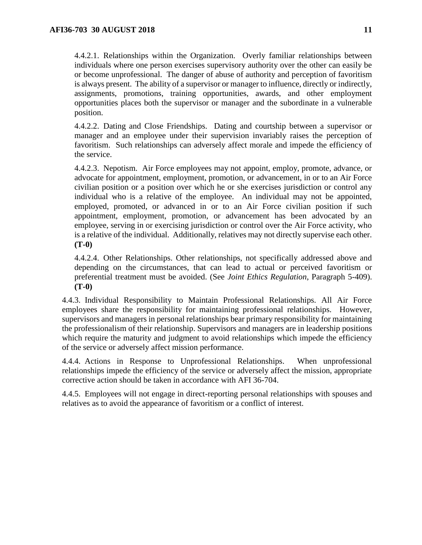4.4.2.1. Relationships within the Organization. Overly familiar relationships between individuals where one person exercises supervisory authority over the other can easily be or become unprofessional. The danger of abuse of authority and perception of favoritism is always present. The ability of a supervisor or manager to influence, directly or indirectly, assignments, promotions, training opportunities, awards, and other employment opportunities places both the supervisor or manager and the subordinate in a vulnerable position.

4.4.2.2. Dating and Close Friendships. Dating and courtship between a supervisor or manager and an employee under their supervision invariably raises the perception of favoritism. Such relationships can adversely affect morale and impede the efficiency of the service.

4.4.2.3. Nepotism. Air Force employees may not appoint, employ, promote, advance, or advocate for appointment, employment, promotion, or advancement, in or to an Air Force civilian position or a position over which he or she exercises jurisdiction or control any individual who is a relative of the employee. An individual may not be appointed, employed, promoted, or advanced in or to an Air Force civilian position if such appointment, employment, promotion, or advancement has been advocated by an employee, serving in or exercising jurisdiction or control over the Air Force activity, who is a relative of the individual. Additionally, relatives may not directly supervise each other. **(T-0)**

4.4.2.4. Other Relationships. Other relationships, not specifically addressed above and depending on the circumstances, that can lead to actual or perceived favoritism or preferential treatment must be avoided. (See *Joint Ethics Regulation*, Paragraph 5-409). **(T-0)**

4.4.3. Individual Responsibility to Maintain Professional Relationships. All Air Force employees share the responsibility for maintaining professional relationships. However, supervisors and managers in personal relationships bear primary responsibility for maintaining the professionalism of their relationship. Supervisors and managers are in leadership positions which require the maturity and judgment to avoid relationships which impede the efficiency of the service or adversely affect mission performance.

4.4.4. Actions in Response to Unprofessional Relationships. When unprofessional relationships impede the efficiency of the service or adversely affect the mission, appropriate corrective action should be taken in accordance with AFI 36-704.

4.4.5. Employees will not engage in direct-reporting personal relationships with spouses and relatives as to avoid the appearance of favoritism or a conflict of interest.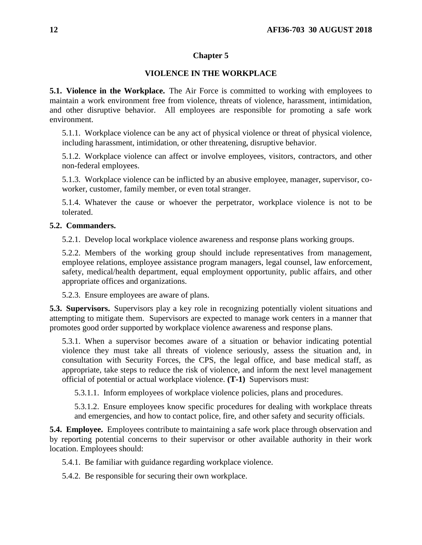# **VIOLENCE IN THE WORKPLACE**

**5.1. Violence in the Workplace.** The Air Force is committed to working with employees to maintain a work environment free from violence, threats of violence, harassment, intimidation, and other disruptive behavior. All employees are responsible for promoting a safe work environment.

5.1.1. Workplace violence can be any act of physical violence or threat of physical violence, including harassment, intimidation, or other threatening, disruptive behavior.

5.1.2. Workplace violence can affect or involve employees, visitors, contractors, and other non-federal employees.

5.1.3. Workplace violence can be inflicted by an abusive employee, manager, supervisor, coworker, customer, family member, or even total stranger.

5.1.4. Whatever the cause or whoever the perpetrator, workplace violence is not to be tolerated.

### **5.2. Commanders.**

5.2.1. Develop local workplace violence awareness and response plans working groups.

5.2.2. Members of the working group should include representatives from management, employee relations, employee assistance program managers, legal counsel, law enforcement, safety, medical/health department, equal employment opportunity, public affairs, and other appropriate offices and organizations.

5.2.3. Ensure employees are aware of plans.

**5.3. Supervisors.** Supervisors play a key role in recognizing potentially violent situations and attempting to mitigate them. Supervisors are expected to manage work centers in a manner that promotes good order supported by workplace violence awareness and response plans.

5.3.1. When a supervisor becomes aware of a situation or behavior indicating potential violence they must take all threats of violence seriously, assess the situation and, in consultation with Security Forces, the CPS, the legal office, and base medical staff, as appropriate, take steps to reduce the risk of violence, and inform the next level management official of potential or actual workplace violence. **(T-1)** Supervisors must:

5.3.1.1. Inform employees of workplace violence policies, plans and procedures.

5.3.1.2. Ensure employees know specific procedures for dealing with workplace threats and emergencies, and how to contact police, fire, and other safety and security officials.

**5.4. Employee.** Employees contribute to maintaining a safe work place through observation and by reporting potential concerns to their supervisor or other available authority in their work location. Employees should:

5.4.1. Be familiar with guidance regarding workplace violence.

5.4.2. Be responsible for securing their own workplace.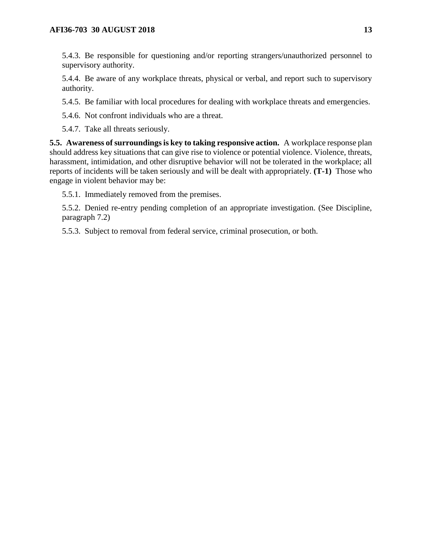5.4.3. Be responsible for questioning and/or reporting strangers/unauthorized personnel to supervisory authority.

5.4.4. Be aware of any workplace threats, physical or verbal, and report such to supervisory authority.

5.4.5. Be familiar with local procedures for dealing with workplace threats and emergencies.

5.4.6. Not confront individuals who are a threat.

5.4.7. Take all threats seriously.

**5.5. Awareness of surroundings is key to taking responsive action.** A workplace response plan should address key situations that can give rise to violence or potential violence. Violence, threats, harassment, intimidation, and other disruptive behavior will not be tolerated in the workplace; all reports of incidents will be taken seriously and will be dealt with appropriately. **(T-1)** Those who engage in violent behavior may be:

5.5.1. Immediately removed from the premises.

5.5.2. Denied re-entry pending completion of an appropriate investigation. (See Discipline, paragraph 7.2)

5.5.3. Subject to removal from federal service, criminal prosecution, or both.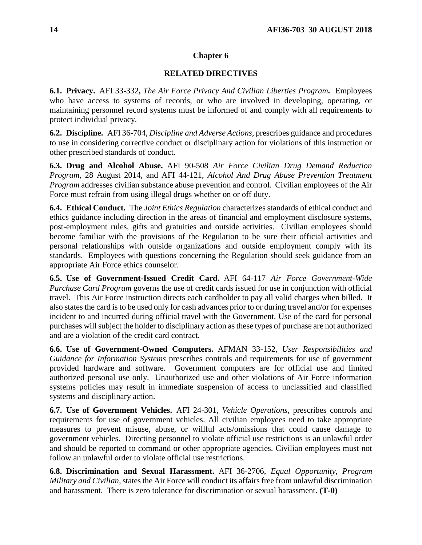# **RELATED DIRECTIVES**

**6.1. Privacy.** AFI 33-332**,** *The Air Force Privacy And Civilian Liberties Program.* Employees who have access to systems of records, or who are involved in developing, operating, or maintaining personnel record systems must be informed of and comply with all requirements to protect individual privacy.

**6.2. Discipline.** AFI 36-704, *Discipline and Adverse Actions*, prescribes guidance and procedures to use in considering corrective conduct or disciplinary action for violations of this instruction or other prescribed standards of conduct.

**6.3. Drug and Alcohol Abuse.** AFI 90-508 *Air Force Civilian Drug Demand Reduction Program,* 28 August 2014, and AFI 44-121, *Alcohol And Drug Abuse Prevention Treatment Program* addresses civilian substance abuse prevention and control. Civilian employees of the Air Force must refrain from using illegal drugs whether on or off duty.

**6.4. Ethical Conduct.** The *Joint Ethics Regulation* characterizes standards of ethical conduct and ethics guidance including direction in the areas of financial and employment disclosure systems, post-employment rules, gifts and gratuities and outside activities. Civilian employees should become familiar with the provisions of the Regulation to be sure their official activities and personal relationships with outside organizations and outside employment comply with its standards. Employees with questions concerning the Regulation should seek guidance from an appropriate Air Force ethics counselor.

**6.5. Use of Government-Issued Credit Card.** AFI 64-117 *Air Force Government-Wide Purchase Card Program* governs the use of credit cards issued for use in conjunction with official travel. This Air Force instruction directs each cardholder to pay all valid charges when billed. It also states the card is to be used only for cash advances prior to or during travel and/or for expenses incident to and incurred during official travel with the Government. Use of the card for personal purchases will subject the holder to disciplinary action as these types of purchase are not authorized and are a violation of the credit card contract.

**6.6. Use of Government-Owned Computers.** AFMAN 33-152, *User Responsibilities and Guidance for Information Systems* prescribes controls and requirements for use of government provided hardware and software. Government computers are for official use and limited authorized personal use only. Unauthorized use and other violations of Air Force information systems policies may result in immediate suspension of access to unclassified and classified systems and disciplinary action.

**6.7. Use of Government Vehicles.** AFI 24-301, *Vehicle Operations*, prescribes controls and requirements for use of government vehicles. All civilian employees need to take appropriate measures to prevent misuse, abuse, or willful acts/omissions that could cause damage to government vehicles. Directing personnel to violate official use restrictions is an unlawful order and should be reported to command or other appropriate agencies. Civilian employees must not follow an unlawful order to violate official use restrictions.

**6.8. Discrimination and Sexual Harassment.** AFI 36-2706, *Equal Opportunity, Program Military and Civilian,*states the Air Force will conduct its affairs free from unlawful discrimination and harassment. There is zero tolerance for discrimination or sexual harassment. **(T-0)**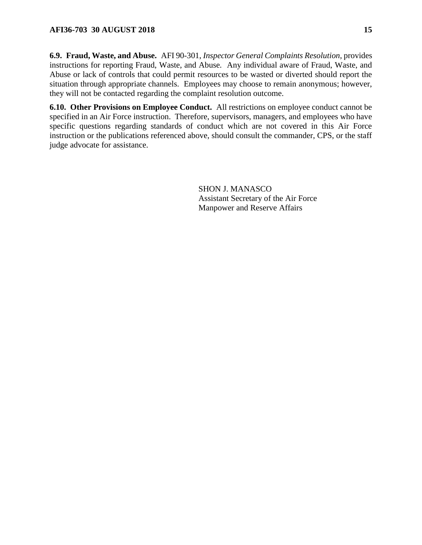**6.9. Fraud, Waste, and Abuse.** AFI 90-301, *Inspector General Complaints Resolution*, provides instructions for reporting Fraud, Waste, and Abuse*.* Any individual aware of Fraud, Waste, and Abuse or lack of controls that could permit resources to be wasted or diverted should report the situation through appropriate channels. Employees may choose to remain anonymous; however, they will not be contacted regarding the complaint resolution outcome.

**6.10. Other Provisions on Employee Conduct.** All restrictions on employee conduct cannot be specified in an Air Force instruction. Therefore, supervisors, managers, and employees who have specific questions regarding standards of conduct which are not covered in this Air Force instruction or the publications referenced above, should consult the commander, CPS, or the staff judge advocate for assistance.

> SHON J. MANASCO Assistant Secretary of the Air Force Manpower and Reserve Affairs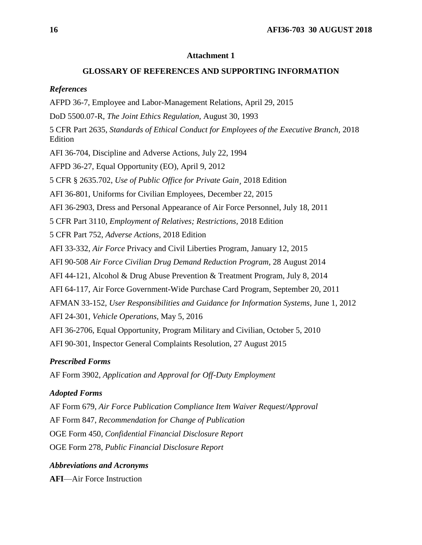### **Attachment 1**

## **GLOSSARY OF REFERENCES AND SUPPORTING INFORMATION**

#### *References*

AFPD 36-7, Employee and Labor-Management Relations, April 29, 2015

DoD 5500.07-R, *The Joint Ethics Regulation,* August 30, 1993

5 CFR Part 2635, *Standards of Ethical Conduct for Employees of the Executive Branch,* 2018 Edition

AFI 36-704, Discipline and Adverse Actions, July 22, 1994

AFPD 36-27, Equal Opportunity (EO), April 9, 2012

5 CFR § 2635.702, *Use of Public Office for Private Gain¸* 2018 Edition

AFI 36-801, Uniforms for Civilian Employees, December 22, 2015

AFI 36-2903, Dress and Personal Appearance of Air Force Personnel, July 18, 2011

5 CFR Part 3110, *Employment of Relatives; Restrictions,* 2018 Edition

5 CFR Part 752, *Adverse Actions,* 2018 Edition

AFI 33-332, *Air Force* Privacy and Civil Liberties Program, January 12, 2015

AFI 90-508 *Air Force Civilian Drug Demand Reduction Program,* 28 August 2014

AFI 44-121, Alcohol & Drug Abuse Prevention & Treatment Program, July 8, 2014

AFI 64-117, Air Force Government-Wide Purchase Card Program, September 20, 2011

AFMAN 33-152, *User Responsibilities and Guidance for Information Systems,* June 1, 2012

AFI 24-301, *Vehicle Operations,* May 5, 2016

AFI 36-2706, Equal Opportunity, Program Military and Civilian, October 5, 2010

AFI 90-301, Inspector General Complaints Resolution, 27 August 2015

### *Prescribed Forms*

AF Form 3902, *Application and Approval for Off-Duty Employment*

#### *Adopted Forms*

AF Form 679, *Air Force Publication Compliance Item Waiver Request/Approval* AF Form 847, *Recommendation for Change of Publication* OGE Form 450, *Confidential Financial Disclosure Report* OGE Form 278, *Public Financial Disclosure Report*

*Abbreviations and Acronyms*

**AFI**—Air Force Instruction